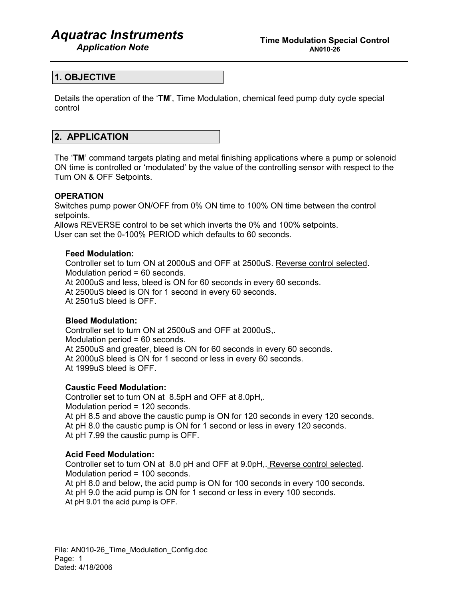# *Aquatrac Instruments*

## **1. OBJECTIVE**

Details the operation of the '**TM**', Time Modulation, chemical feed pump duty cycle special control

## **2. APPLICATION**

The '**TM**' command targets plating and metal finishing applications where a pump or solenoid ON time is controlled or 'modulated' by the value of the controlling sensor with respect to the Turn ON & OFF Setpoints.

### **OPERATION**

Switches pump power ON/OFF from 0% ON time to 100% ON time between the control setpoints.

Allows REVERSE control to be set which inverts the 0% and 100% setpoints. User can set the 0-100% PERIOD which defaults to 60 seconds.

### **Feed Modulation:**

Controller set to turn ON at 2000uS and OFF at 2500uS. Reverse control selected. Modulation period = 60 seconds. At 2000uS and less, bleed is ON for 60 seconds in every 60 seconds. At 2500uS bleed is ON for 1 second in every 60 seconds. At 2501uS bleed is OFF.

## **Bleed Modulation:**

Controller set to turn ON at 2500uS and OFF at 2000uS,. Modulation period = 60 seconds. At 2500uS and greater, bleed is ON for 60 seconds in every 60 seconds. At 2000uS bleed is ON for 1 second or less in every 60 seconds. At 1999uS bleed is OFF.

#### **Caustic Feed Modulation:**

Controller set to turn ON at 8.5pH and OFF at 8.0pH,. Modulation period = 120 seconds. At pH 8.5 and above the caustic pump is ON for 120 seconds in every 120 seconds. At pH 8.0 the caustic pump is ON for 1 second or less in every 120 seconds. At pH 7.99 the caustic pump is OFF.

#### **Acid Feed Modulation:**

Controller set to turn ON at 8.0 pH and OFF at 9.0pH,. Reverse control selected. Modulation period = 100 seconds. At pH 8.0 and below, the acid pump is ON for 100 seconds in every 100 seconds. At pH 9.0 the acid pump is ON for 1 second or less in every 100 seconds. At pH 9.01 the acid pump is OFF.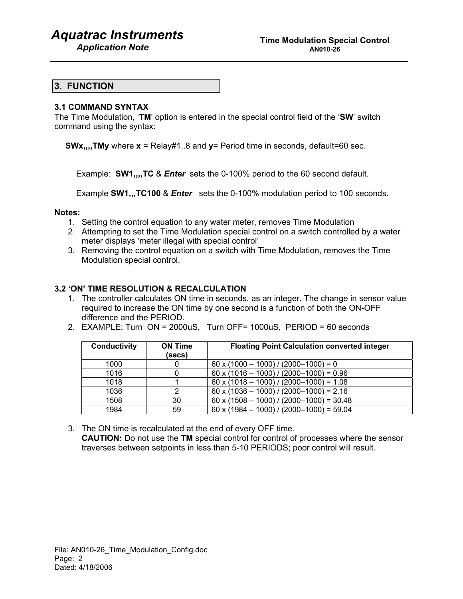# *Aquatrac Instruments*

## **3. FUNCTION**

## **3.1 COMMAND SYNTAX**

The Time Modulation, '**TM**' option is entered in the special control field of the '**SW**' switch command using the syntax:

**SWx,,,,TMy** where **x** = Relay#1..8 and **y**= Period time in seconds, default=60 sec.

Example: **SW1,,,,TC** & *Enter* sets the 0-100% period to the 60 second default.

Example **SW1,,,TC100** & *Enter* sets the 0-100% modulation period to 100 seconds.

## **Notes:**

- 1. Setting the control equation to any water meter, removes Time Modulation
- 2. Attempting to set the Time Modulation special control on a switch controlled by a water meter displays 'meter illegal with special control'
- 3. Removing the control equation on a switch with Time Modulation, removes the Time Modulation special control.

## **3.2 'ON' TIME RESOLUTION & RECALCULATION**

- 1. The controller calculates ON time in seconds, as an integer. The change in sensor value required to increase the ON time by one second is a function of both the ON-OFF difference and the PERIOD.
- 2. EXAMPLE: Turn ON = 2000uS, Turn OFF= 1000uS, PERIOD = 60 seconds

| <b>Conductivity</b> | <b>ON Time</b><br>(secs) | <b>Floating Point Calculation converted integer</b> |
|---------------------|--------------------------|-----------------------------------------------------|
| 1000                |                          | $60 \times (1000 - 1000) / (2000 - 1000) = 0$       |
| 1016                |                          | $60 \times (1016 - 1000) / (2000 - 1000) = 0.96$    |
| 1018                |                          | $60 \times (1018 - 1000) / (2000 - 1000) = 1.08$    |
| 1036                |                          | $60 \times (1036 - 1000) / (2000 - 1000) = 2.16$    |
| 1508                | 30                       | $60 \times (1508 - 1000) / (2000 - 1000) = 30.48$   |
| 1984                | 59                       | $60 \times (1984 - 1000) / (2000 - 1000) = 59.04$   |

3. The ON time is recalculated at the end of every OFF time. **CAUTION:** Do not use the **TM** special control for control of processes where the sensor traverses between setpoints in less than 5-10 PERIODS; poor control will result.